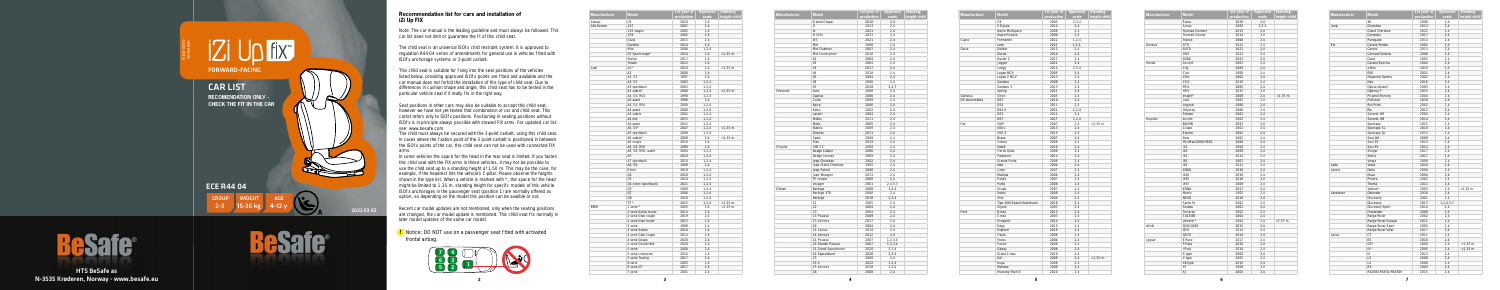**5**



HTS BeSafe as N-3535 Krøderen, Norway - www.besafe.eu B102-8200



## **Recommendation list for cars and installation of iZi Up FIX**

**!** Notice: DO NOT use on a passenger seat tted with activated frontal airbag.

| <b>Manufacturer</b> | <b>Model</b>          | 1st year of | Approved | <b>Standing</b> |
|---------------------|-----------------------|-------------|----------|-----------------|
|                     |                       | production  | seats    | height child    |
| Aiways              | U <sub>5</sub>        | 2020        | 2,4      |                 |
| Alfa Romeo          | 147                   | 2007        | 2,4      |                 |
|                     | 156 wagon             | 2005        | 2,4      |                 |
|                     | 159                   | 2005        | 2,4      |                 |
|                     | Giulia                | 2015        | 2,4      |                 |
|                     | Giulietta             | 2010        | 2,4      |                 |
|                     | Mito                  | 2008        | 1, 2, 4  |                 |
|                     | GT Sportcoupe*        | 2010        | 2,4      | $<$ 1,35 $m$ .  |
|                     | Stelvio               | 2017        | 2,4      |                 |
|                     | Tonale                | 2022        | 2.4      |                 |
| Audi                | A1*                   | 2010        | 2,4      | $<$ 1,35 m.     |
|                     | A2                    | 2000        | 2,4      |                 |
|                     | A3, S3                | 1997        | 2,4      |                 |
|                     | A3, S3                | 2003        | 1, 2, 4  |                 |
|                     | A3 sportback          | 2003        | 1, 2, 4  |                 |
|                     | A3 cabrio*            | 2008        | 1, 2, 4  | $<$ 1,35 $m$ .  |
|                     | A4, S4, RS4           | 1998        | 1, 2, 4  |                 |
|                     | A4 avant              | 1996        | 2,4      |                 |
|                     | A4, S4, RS4           | 2000        | 1, 2, 4  |                 |
|                     | A4 avant              | 2000        | 1, 2, 4  |                 |
|                     | A4 cabrio             | 2002        | 1, 2, 4  |                 |
|                     | A4 imo                | 2015        | 1, 2, 4  |                 |
|                     | A4 avant              | 2015        | 1, 2, 4  |                 |
|                     | A5, S5*               | 2007        | 1, 2, 4  | $<$ 1,35 $m$ .  |
|                     | A5 sportback          | 2009        | 1, 2, 4  |                 |
|                     | A5 cabrio*            | 2009        | 2,4      | $<$ 1,35 m.     |
|                     | A5 coupe              | 2016        | 2,4      |                 |
|                     | A6, S6, RS6           | 1998        | 2,4      |                 |
|                     | A6, S6, RS6, avant    | 2004        | 1, 2, 4  |                 |
|                     | A7                    | 2010        | 1, 2, 4  |                 |
|                     | A7 sportback          | 2010        | 1, 2, 4  |                 |
|                     | A8, S8                | 1998        | 2,4      |                 |
|                     | E-tron                | 2019        | 1, 2, 4  |                 |
|                     | Q2                    | 2016        | 1, 2, 4  |                 |
|                     | Q <sub>3</sub>        | 2010        | 1, 2, 4  |                 |
|                     | Q4 e-tron (sportback) | 2021        | 1, 2, 4  |                 |
|                     | Q <sub>5</sub>        | 2008        | 1, 2, 4  |                 |
|                     | <b>Q7</b>             | 2006        | 1, 2, 4  |                 |
|                     | Q8                    | 2019        | 1, 2, 4  |                 |
|                     | TT*                   | 2015        | 1, 2, 4  | $<$ 1,35 m.     |
| <b>BMW</b>          | 1 serie *             | 2005        | 2,4      | $<$ 1,35 $m$ .  |
|                     | 2 serie Active tourer | 2014        | 2,4      |                 |
|                     | 2 serie Gran coupé    | 2019        | 2,4      |                 |
|                     | 2 serie Gran tourer   | 2015        | 2,4      |                 |
|                     | 3 serie               | 1998        | 2,4      |                 |
|                     | 3 serie Sedan         | 2018        | 2,4      |                 |
|                     | 4 serie Gran coupe    | 2014        | 2,4      |                 |
|                     | 4 serie Coupe         | 2020        | 2.4      |                 |
|                     | 4 serie Convertible   | 2020        | 2,4      |                 |
|                     | 5 serie               | 2000        | 2,4      |                 |
|                     | 5 serie Limousine     | 2016        | 2,4      |                 |
|                     | 5 serie Touring       | 2017        | 2,4      |                 |
|                     | 6-serie               | 2003        | 2,4      |                 |
|                     | 6 serie GT            | 2017        | 2,4      |                 |
|                     | 7 serie               | 2001        | 2,4      |                 |

| <b>Manufacturer</b> | <b>Model</b>         | 1st year of | Approved   | <b>Standing</b> |
|---------------------|----------------------|-------------|------------|-----------------|
|                     |                      | production  | seats      | height child    |
|                     | 8 serie Coupe        | 2018        | 2.4        |                 |
|                     | i3                   | 2013        | 2.4        |                 |
|                     | 4                    | 2021        | 2.4        |                 |
|                     | iX (i20)             | 2021        | 2,4        |                 |
|                     | iX3                  | 2021        | 2,4        |                 |
|                     | Mini                 | 2006        | 2,4        |                 |
|                     | Mini Clubman         | 2007        | 2.4        |                 |
|                     | Mini Countryman      | 2010        | 2,4        |                 |
|                     | X1                   | 2004        | 2,4        |                 |
|                     | X3                   | 2004        | 2,4        |                 |
|                     | X3                   | 2017        | 2.4        |                 |
|                     | X4                   | 2018        | 2,4        |                 |
|                     | <b>X5</b>            | 2004        | 2,4        |                 |
|                     | X6                   | 2008        | 2,4        |                 |
|                     | X7                   | 2018        | 2, 4, 7    |                 |
| Chevrolet           | Aveo                 | 2006        | 2,4        |                 |
|                     | Captiva              | 2006        | 2,4        |                 |
|                     | Cruze                | 2009        | 2.4        |                 |
|                     | Epica                | 2006        | 2,4        |                 |
|                     | Kalos                | 2002        | 2,4        |                 |
|                     | Lacetti              | 2004        | 2,4        |                 |
|                     | Malibu               | 2011        | 2,4        |                 |
|                     | Matiz                | 2005        | 2,4        |                 |
|                     | Nubira               |             |            |                 |
|                     |                      | 2009        | 2,4        |                 |
|                     | Orlando              | 2011        | 2,4        |                 |
|                     | Spark                | 2009        | 2,4        |                 |
|                     | Trax                 | 2013        | 2,4        |                 |
| Chrysler            | 300 CC               | 2008        | 2,4        |                 |
|                     | Dodge Caliber        | 2006        | 2.4        |                 |
|                     | Dodge Journey        | 2009        | 2,4        |                 |
|                     | Jeep Cherokee        | 2002        | 2,4        |                 |
|                     | Jeep Grand Cherokee  | 1992        | 2,4        |                 |
|                     | Jeep Patriot         | 2006        | 2,4        |                 |
|                     | Jeep Wrangler        | 2011        | 2,4        |                 |
|                     | PT cruiser           | 2000        | 2,4        |                 |
|                     | Voyager              | 2001        | 2,4,5,7    |                 |
| Citroen             | Berlingo             | 2008        | 1, 2, 4    |                 |
|                     | Berlingo XTR         | 2008        | 2,4        |                 |
|                     | Berlingo             | 2018        | 2,3,4      |                 |
|                     | C1                   | 2005        | 2.4        |                 |
|                     | C <sub>2</sub>       | 2004        | 2,4        |                 |
|                     | C <sub>3</sub>       | 2004        | 2,4        |                 |
|                     | C3 Picasso           | 2009        | 2,4        |                 |
|                     | C3 Aircross          | 2017        | 2,4        |                 |
|                     | C <sub>4</sub>       | 2004        | 2.4        |                 |
|                     | C4 Cactus            | 2014        | 2,4        |                 |
|                     | C4 Aircross          | 2012        | 2,4        |                 |
|                     | C4 Picasso           | 2007        | 1, 2, 3, 4 |                 |
|                     | C4 Grande Picasso    | 2007        |            |                 |
|                     |                      | 2020        | 1, 2, 3, 4 |                 |
|                     | C4 Grand Spacetourer |             | 2,3,4      |                 |
|                     | C4 Spacetourer       | 2020        | 2,3,4      |                 |
|                     | C <sub>5</sub>       | 2000        | 2,4        |                 |
|                     | C5X                  | 2022        | 1, 2, 4    |                 |
|                     | C5 Aircross          | 2018        | 1, 2, 4    |                 |
|                     | C <sub>6</sub>       | 2008        | 2,4        |                 |

Note: The car manual is the leading guideline and must always be followed. This car list does not limit or quarantee the t of this child seat.

The child seat is an universal ISO x child restraint system. It is approved to regulation R44-04 series of amendments for general use in vehicles tted with ISO x anchorage systems or 3-point carbelt.

This child seat is suitable for xing into the seat positions of the vehicles listed below, providing approved ISO x points are tted and available and the car manual does not forbid the installation of this type of child seat. Due to differences in cushion shape and angle, this child seat has to be tested in the particular vehicle seat if it really ts in the right way.

| <b>Manufacturer</b>   | <b>Model</b>              | 1st year of<br>production | Approved<br>seats | <b>Standing</b><br>height child |
|-----------------------|---------------------------|---------------------------|-------------------|---------------------------------|
|                       | C <sub>8</sub>            | 2003                      | 2,3,4             |                                 |
|                       | C-Elysée                  | 2012                      | 2,4               |                                 |
|                       | Nemo Multispace           | 2008                      | 2,4               |                                 |
|                       | Xsara Picasso             | 2000                      | 2,4               |                                 |
| Cupra                 | Formentor                 | 2021                      | 1, 2, 4           |                                 |
|                       | Leon                      | 2021                      | 1, 2, 4,          |                                 |
| Dacia                 | Dokker                    | 2012                      | 2.4               |                                 |
|                       | Duster                    | 2010                      | 2,4               |                                 |
|                       | Duster <sub>2</sub>       | 2017                      | 2,4               |                                 |
|                       | Jogger                    | 2021                      | 2.4               |                                 |
|                       | Lodgy                     | 2012                      | 2,3,4             |                                 |
|                       | Logan MCV                 | 2005                      | 2,4               |                                 |
|                       | Logan 2 MCV               | 2013                      | 2,4               |                                 |
|                       | Sandero                   | 2008                      | 2,4               |                                 |
|                       | Sandero 2                 | 2013                      | 2,4               |                                 |
|                       | Spring                    | 2021                      | 2.4               |                                 |
| Daihatsu              | Sirion                    | 2005                      | 2,4               |                                 |
| <b>DS Automobiles</b> | DS3                       | 2010                      | 2,4               |                                 |
|                       | DS4                       | 2011                      | 2,4               |                                 |
|                       | DS4 II                    | 2021                      | 1, 2, 4           |                                 |
|                       | DS <sub>5</sub>           | 2012                      | 2.4               |                                 |
|                       | DS7                       | 2017                      | 1.2.4             |                                 |
| Fiat                  | 500*                      | 2007                      | 2,4               | $<$ 1,35 m.                     |
|                       | 500L                      | 2013                      | 2,4               |                                 |
|                       | 500 X                     | 2015                      | 2,4               |                                 |
|                       | Bravo                     | 2007                      | 2,4               |                                 |
|                       | Croma                     | 2008                      | 2,4               |                                 |
|                       | Doblò                     | 2010                      | 2,4               |                                 |
|                       | Fiorno Qubo               | 2008                      | 2,4               |                                 |
|                       | Freemont                  | 2011                      | 2,4               |                                 |
|                       | Grande Punto              | 2006                      | 2,4               |                                 |
|                       | Idea                      | 2004                      | 2,4               |                                 |
|                       | Linea                     | 2007                      | 2,4               |                                 |
|                       | Multipla                  | 2004                      | 2,4               |                                 |
|                       | Panda                     | 2007                      | 2,4               |                                 |
|                       | Punto                     | 2008                      | 2.4               |                                 |
|                       | Scudo                     | 2007                      | 2,4               |                                 |
|                       | Sedici                    | 2009                      | 2,4               |                                 |
|                       | Stilo                     |                           | 2,4               |                                 |
|                       | Tipo (SW/Sedan/Hatchback) | 2004<br>2016              | 2.4               |                                 |
|                       | Ulysee                    | 2003                      | 2,4               |                                 |
| Ford                  | B-max                     | 2012                      | 2,4               |                                 |
|                       | C-max                     | 2003                      | 2,4               |                                 |
|                       |                           | 2014                      | 2,4               |                                 |
|                       | Ecosport                  |                           |                   |                                 |
|                       | Edge                      | 2015                      | 2,4               |                                 |
|                       | Explorer                  | 2019                      | 2,4               |                                 |
|                       | Fiesta                    | 2008                      | 2,4               |                                 |
|                       | Focus                     | 2004                      | 2,4               |                                 |
|                       | Fusion                    | 2008                      | 2,4               |                                 |
|                       | Galaxy                    | 2006                      | 2,4               |                                 |
|                       | Grand C-max               | 2010                      | 2,4               |                                 |
|                       | Ka*                       | 2009                      | 2,4               | $<$ 1,35 m.                     |
|                       | Kuqa                      | 2008                      | 2,4               |                                 |
|                       | Mondeo                    | 2000                      | 2,4               |                                 |
|                       | Mustang Mach-E            | 2020                      | 2.4               |                                 |

| Model             | 1st year of<br>production | Approved<br>seats | Standing<br>height child |
|-------------------|---------------------------|-------------------|--------------------------|
| Puma              | 2019                      | 2,4               |                          |
| S-max             | 2006                      | 2,3,4             |                          |
| Tourneo Connect   | 2013                      | 2,4               |                          |
| Tourneo Courier   | 2014                      | 2,4               |                          |
| Transit           | 2006                      | 2,4               |                          |
| G70               | 2021                      | 2,4               |                          |
| GV70              | 2021                      | 2,4               |                          |
| G80               | 2021                      | 2,4               |                          |
| <b>GV80</b>       | 2021                      | 2,4               |                          |
| Accord            | 2003                      | 2,4               |                          |
| City              | 2009                      | 2,4               |                          |
| Civic             | 2006                      | 2,4               |                          |
| CR-V              | 2002                      | 2,4               |                          |
| CR-Z              | 2010                      | 2,4               |                          |
| FR-V              | 2005                      | 2,4               |                          |
| HR-V              | 2015                      | 2,4               |                          |
| Insight*          | 2009                      | 2,4               | $< 1,35$ m.              |
|                   |                           |                   |                          |
| Jazz              | 2002                      | 2,4               |                          |
| Legend            | 2006                      | 2,4               |                          |
| Odyssey           | 2006                      | 2.4               |                          |
| Stream            | 2001                      | 2,4               |                          |
| Accent            | 2002                      | 2,4               |                          |
| BAYON             | 2021                      | 2.4               |                          |
| Coupe             | 2001                      | 2,4               |                          |
| Elantra           | 2002                      | 2,4               |                          |
| Getz              | 2002                      | 2,4               |                          |
| H1/iMax/i800/H300 | 2008                      | 2,4               |                          |
| i10               | 2008                      | 2,4               |                          |
| i20               | 2009                      | 2,4               |                          |
| i20               | 2014                      | 2,4               |                          |
| i30               | 2007                      | 2,4               |                          |
| i40               | 2011                      | 2,4               |                          |
| ioniq             | 2016                      | 2,4               |                          |
| iX20              | 2010                      | 2,4               |                          |
| iX35              | 2010                      | 2,4               |                          |
| iX55              | 2009                      | 2,4               |                          |
| KONA              | 2017                      | 2,4               |                          |
| Matrix            | 2002                      | 2,4               |                          |
| <b>NEXO</b>       | 2018                      | 2,4               |                          |
| Santa Fe          | 2002                      | 2,4               |                          |
| Sonata            | 2001                      | 2,4               |                          |
| Terracan          | 2002                      |                   |                          |
|                   |                           | 2,4               |                          |
| TUCSON            | 2004                      | 2,4               | $<$ 1,35 $m$ .           |
| Veloster*         | 2004                      | 2,4               |                          |
| Q30/QX30          | 2015                      | 2,4               |                          |
| Q50               | 2014                      | 2,4               |                          |
| QX70              | 2014                      | 2,4               |                          |
| E-Pace            | 2017                      | 2,4               |                          |
| F-Pace            | 2016                      | 2,4               |                          |
| l-Pace            | 2018                      | 2,4               |                          |
| S type            | 2002                      | 2,4               |                          |
| X type            | 2005                      | 2,4               |                          |
| XE-type           | 2015                      | 2,4               |                          |
| XF                | 2008                      | 2,4               |                          |
| X I               | 2003                      | 24                |                          |

| <b>Manufacturer</b> | <b>Model</b>      | 1st year of | <b>Appro</b> |
|---------------------|-------------------|-------------|--------------|
|                     |                   | production  | seat         |
|                     | Puma              | 2019        | 2,4          |
|                     | S-max             | 2006        | 2,3,         |
|                     | Tourneo Connect   | 2013        | 2,4          |
|                     | Tourneo Courier   | 2014        | 2,4          |
|                     | Transit           | 2006        | 2,4          |
| Genesis             | G70               | 2021        | 2,4          |
|                     | <b>GV70</b>       | 2021        | 2,4          |
|                     | G80               | 2021        | 2,4          |
|                     | <b>GV80</b>       | 2021        | 2,4          |
| Honda               | Accord            | 2003        | 2,4          |
|                     | City              | 2009        | 2,4          |
|                     | Civic             | 2006        | 2,4          |
|                     | CR-V              | 2002        | 2,4          |
|                     | CR-Z              | 2010        | 2,4          |
|                     | FR-V              | 2005        | 2,4          |
|                     | HR-V              | 2015        | 2,4          |
|                     | Insight*          | 2009        | 2,4          |
|                     | Jazz              | 2002        | 2,4          |
|                     | Legend            | 2006        | 2,4          |
|                     |                   | 2006        | 2.4          |
|                     | Odyssey<br>Stream | 2001        |              |
|                     |                   |             | 2,4          |
| Huyndai             | Accent            | 2002        | 2,4          |
|                     | <b>BAYON</b>      | 2021        | 2.4          |
|                     | Coupe             | 2001        | 2,4          |
|                     | Elantra           | 2002        | 2,4          |
|                     | Getz              | 2002        | 2,4          |
|                     | H1/iMax/i800/H300 | 2008        | 2,4          |
|                     | i10               | 2008        | 2,4          |
|                     | i20               | 2009        | 2,4          |
|                     | i20               | 2014        | 2,4          |
|                     | i30               | 2007        | 2,4          |
|                     | i40               | 2011        | 2,4          |
|                     | <b>IONIQ</b>      | 2016        | 2,4          |
|                     | iX20              | 2010        | 2,4          |
|                     | iX35              | 2010        | 2,4          |
|                     | iX55              | 2009        | 2,4          |
|                     | KONA              | 2017        | 2,4          |
|                     | Matrix            | 2002        | 2,4          |
|                     | <b>NEXO</b>       | 2018        | 2,4          |
|                     | Santa Fe          | 2002        | 2,4          |
|                     | Sonata            | 2001        | 2,4          |
|                     | Terracan          | 2002        | 2,4          |
|                     | <b>TUCSON</b>     | 2004        | 2,4          |
|                     | Veloster*         | 2004        | 2,4          |
| In niti             | Q30/QX30          | 2015        | 2,4          |
|                     | Q50               | 2014        | 2,4          |
|                     | QX70              | 2014        | 2,4          |
| Jaguar              | E-Pace            | 2017        | 2,4          |
|                     | F-Pace            | 2016        | 2,4          |
|                     | I-Pace            | 2018        | 2,4          |
|                     | S type            | 2002        | 2,4          |
|                     | X type            | 2005        | 2,4          |
|                     |                   | 2015        |              |
|                     | XE-type<br>XF     | 2008        | 2,4          |
|                     | X <sub>1</sub>    | 2003        | 2,4          |
|                     |                   |             | 2,4          |

| <b>Manufacturer</b> | <b>Model</b>          | 1st year of | <b>Approved</b> | <b>Standing</b> |
|---------------------|-----------------------|-------------|-----------------|-----------------|
|                     |                       | production  | seats           | height child    |
|                     | XK                    | 2006        | 2.4             |                 |
| Jeep                | Cherokee              | 2013        | 2,4             |                 |
|                     | <b>Grand Cherokee</b> | 2022        | 2,4             |                 |
|                     | Compass               | 2017        | 2,4             |                 |
|                     | Renegade              | 2014        | 2,4             |                 |
| Kia                 | Carens/Rondo          | 2002        | 2,4             |                 |
|                     | Carens                | 2013        | 2,4             |                 |
|                     | Carnival/Sedona       | 2006        | 2.4             |                 |
|                     | Ceed                  | 2005        | 2.4             |                 |
|                     | Cerato/Spectra        | 2004        | 2,4             |                 |
|                     | e-Niro                | 2019        | 2,4             |                 |
|                     | EV <sub>6</sub>       | 2021        | 2.4             |                 |
|                     | Magentis/Optima       | 2002        | 2,4             |                 |
|                     | Niro                  | 2016        | 2,4             |                 |
|                     | Opirus/Amanti         | 2003        | 2,4             |                 |
|                     | Optima JF             | 2015        | 2.4             |                 |
|                     | Picanto/Morning       | 2004        | 2,4             |                 |
|                     | ProCeed               | 2018        | 2,4             |                 |
|                     | Rio/Pride             | 2002        | 2,4             |                 |
|                     | Rio                   | 2017        | 2.4             |                 |
|                     | Sorento XM            | 2002        | 2,4             |                 |
|                     | Sorento UM            | 2014        | 2,4             |                 |
|                     | Sportage              | 2021        | 2.4             |                 |
|                     | Sportage SL           | 2010        | 2.4             |                 |
|                     | Sportage QL           | 2015        | 2,4             |                 |
|                     | Soul AM               | 2009        | 2,4             |                 |
|                     | Soul PS               | 2014        | 2,4             |                 |
|                     | Soul EV               | 2014        | 2,4             |                 |
|                     | Stinger               | 2017        | 2,4             |                 |
|                     | Stonic                | 2017        | 2,4             |                 |
|                     | Venga                 | 2009        | 2.4             |                 |
| I ada               | Vesta                 | 2016        | 2.4             |                 |
| Lancia              | Delta                 | 2008        | 2,4             |                 |
|                     | Musa                  | 2004        | 2,4             |                 |
|                     | Phedra                | 2002        | 2,4             |                 |
|                     | Thema                 | 2011        | 2,4             |                 |
|                     | Ypsilon*              | 2003        | 2,4             | $<$ 1,35 $m$ .  |
| Landrover           | Defender              | 2020        | 2,4             |                 |
|                     | Discovery             | 2001        | 2,4             |                 |
|                     | Discovery             | 2017        | 1, 2, 4, 5, 7   |                 |
|                     | Discovery Sport       | 2014        | 2,4             |                 |
|                     | Freelander            | 2006        | 2,4             |                 |
|                     | Range Rover           | 2002        | 2,4             |                 |
|                     | Range Rover Evoque    | 2011        | 2,4             |                 |
|                     | Range Rover Sport     | 2005        | 2,4             |                 |
|                     | Range Rover Velar     | 2017        | 2,4             |                 |
| Lexus               | <b>CT</b>             | 2011        | 2.4             |                 |
|                     | ES                    | 2018        | 2.4             |                 |
|                     | $GS*$                 | 2000        | 2,4             | $< 1,35$ m.     |
|                     | $IS^*$                | 2005        | 2,4             | $< 1,35$ m.     |
|                     | IS                    | 2013        | 2,4             |                 |
|                     | LS                    | 2006        | 2,4             |                 |
|                     | LX                    | 2008        | 2,4             |                 |
|                     | <b>RX</b>             | 2003        | 2,4             |                 |
|                     | RX200t/RX350/RX450h   | 2015        | 2.4             |                 |

Seat positions in other cars may also be suitable to accept this child seat, however we have not yet tested that combination of car and child seat. This carlist refers only to  $\overline{SO}$  x positions. Positioning in seating positions without ISO x is in principle always possible with stowed FIX arms. For updated car list see: www.besafe.com

The child must always be secured with the 3-point carbelt, using this child seat. In cases where the xation point of the 3 point carbelt is positioned in between the ISO x points of the car, this child seat can not be used with connected FIX arms.

In some vehicles the space for the head in the rear seat is limited. If you fasten this child seat with the FIX arms in these vehicles, it may not be possible to use the child seat up to a standing height of 1.50 m. This may be the case, for example, if the headrest hits the vehicle's C-pillar. Please observe the heights shown in the type list. When a vehicle is marked with \*, the space for the head might be limited to 1,35 m. standing height for speci c models of this vehicle. ISO x anchorages in the passenger seat (position 1) are normally offered as option, so depending on the model this position can be availble or not.

Recent car model updates are not mentioned, only when the seating positions are changed, the car model update is mentioned. This child seat  $\overrightarrow{S}$  formally in later model updates of the same car model.